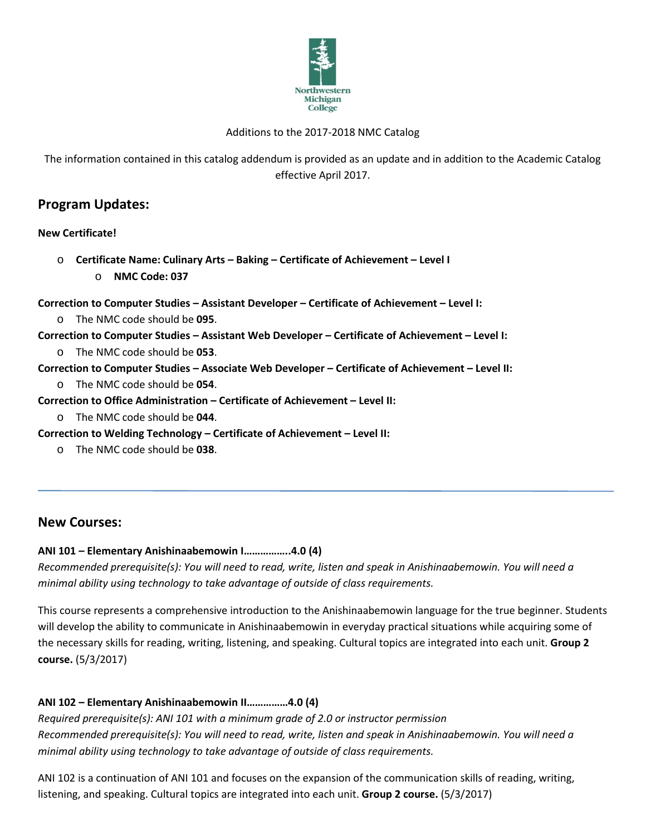

#### Additions to the 2017-2018 NMC Catalog

The information contained in this catalog addendum is provided as an update and in addition to the Academic Catalog effective April 2017.

# **Program Updates:**

#### **New Certificate!**

o **Certificate Name: Culinary Arts – Baking – Certificate of Achievement – Level I** o **NMC Code: 037**

**Correction to Computer Studies – Assistant Developer – Certificate of Achievement – Level I:**

o The NMC code should be **095**.

**Correction to Computer Studies – Assistant Web Developer – Certificate of Achievement – Level I:**

o The NMC code should be **053**.

#### **Correction to Computer Studies – Associate Web Developer – Certificate of Achievement – Level II:**

o The NMC code should be **054**.

**Correction to Office Administration – Certificate of Achievement – Level II:**

o The NMC code should be **044**.

**Correction to Welding Technology – Certificate of Achievement – Level II:**

o The NMC code should be **038**.

## **New Courses:**

#### **ANI 101 – Elementary Anishinaabemowin I……………..4.0 (4)**

*Recommended prerequisite(s): You will need to read, write, listen and speak in Anishinaabemowin. You will need a minimal ability using technology to take advantage of outside of class requirements.*

This course represents a comprehensive introduction to the Anishinaabemowin language for the true beginner. Students will develop the ability to communicate in Anishinaabemowin in everyday practical situations while acquiring some of the necessary skills for reading, writing, listening, and speaking. Cultural topics are integrated into each unit. **Group 2 course.** (5/3/2017)

#### **ANI 102 – Elementary Anishinaabemowin II……………4.0 (4)**

*Required prerequisite(s): ANI 101 with a minimum grade of 2.0 or instructor permission Recommended prerequisite(s): You will need to read, write, listen and speak in Anishinaabemowin. You will need a minimal ability using technology to take advantage of outside of class requirements.*

ANI 102 is a continuation of ANI 101 and focuses on the expansion of the communication skills of reading, writing, listening, and speaking. Cultural topics are integrated into each unit. **Group 2 course.** (5/3/2017)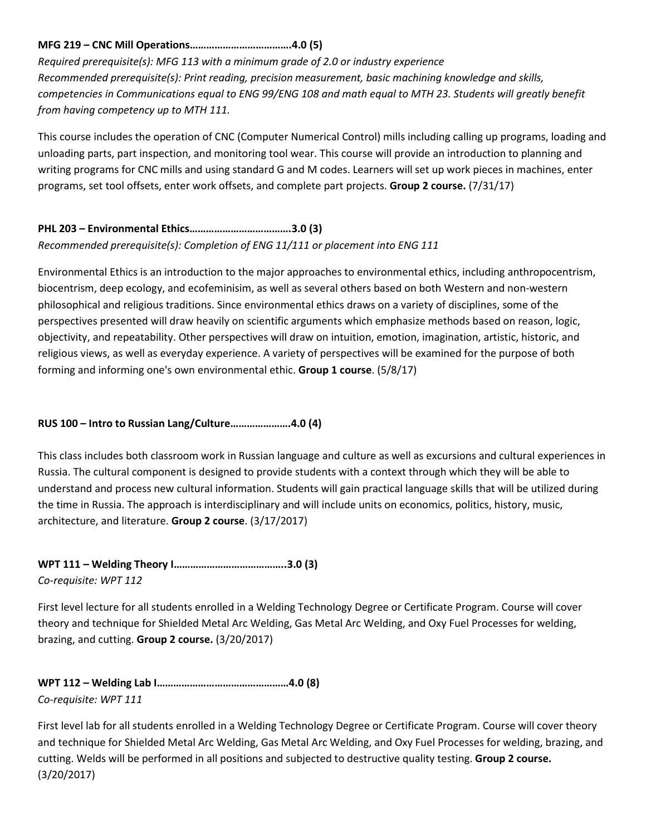### **MFG 219 – CNC Mill Operations……………………………….4.0 (5)**

*Required prerequisite(s): MFG 113 with a minimum grade of 2.0 or industry experience Recommended prerequisite(s): Print reading, precision measurement, basic machining knowledge and skills, competencies in Communications equal to ENG 99/ENG 108 and math equal to MTH 23. Students will greatly benefit from having competency up to MTH 111.*

This course includes the operation of CNC (Computer Numerical Control) mills including calling up programs, loading and unloading parts, part inspection, and monitoring tool wear. This course will provide an introduction to planning and writing programs for CNC mills and using standard G and M codes. Learners will set up work pieces in machines, enter programs, set tool offsets, enter work offsets, and complete part projects. **Group 2 course.** (7/31/17)

## **PHL 203 – Environmental Ethics……………………………….3.0 (3)**

*Recommended prerequisite(s): Completion of ENG 11/111 or placement into ENG 111*

Environmental Ethics is an introduction to the major approaches to environmental ethics, including anthropocentrism, biocentrism, deep ecology, and ecofeminisim, as well as several others based on both Western and non-western philosophical and religious traditions. Since environmental ethics draws on a variety of disciplines, some of the perspectives presented will draw heavily on scientific arguments which emphasize methods based on reason, logic, objectivity, and repeatability. Other perspectives will draw on intuition, emotion, imagination, artistic, historic, and religious views, as well as everyday experience. A variety of perspectives will be examined for the purpose of both forming and informing one's own environmental ethic. **Group 1 course**. (5/8/17)

### **RUS 100 – Intro to Russian Lang/Culture………………….4.0 (4)**

This class includes both classroom work in Russian language and culture as well as excursions and cultural experiences in Russia. The cultural component is designed to provide students with a context through which they will be able to understand and process new cultural information. Students will gain practical language skills that will be utilized during the time in Russia. The approach is interdisciplinary and will include units on economics, politics, history, music, architecture, and literature. **Group 2 course**. (3/17/2017)

**WPT 111 – Welding Theory I…………………………………..3.0 (3)** *Co-requisite: WPT 112*

First level lecture for all students enrolled in a Welding Technology Degree or Certificate Program. Course will cover theory and technique for Shielded Metal Arc Welding, Gas Metal Arc Welding, and Oxy Fuel Processes for welding, brazing, and cutting. **Group 2 course.** (3/20/2017)

**WPT 112 – Welding Lab I…………………………………………4.0 (8)** *Co-requisite: WPT 111*

First level lab for all students enrolled in a Welding Technology Degree or Certificate Program. Course will cover theory and technique for Shielded Metal Arc Welding, Gas Metal Arc Welding, and Oxy Fuel Processes for welding, brazing, and cutting. Welds will be performed in all positions and subjected to destructive quality testing. **Group 2 course.** (3/20/2017)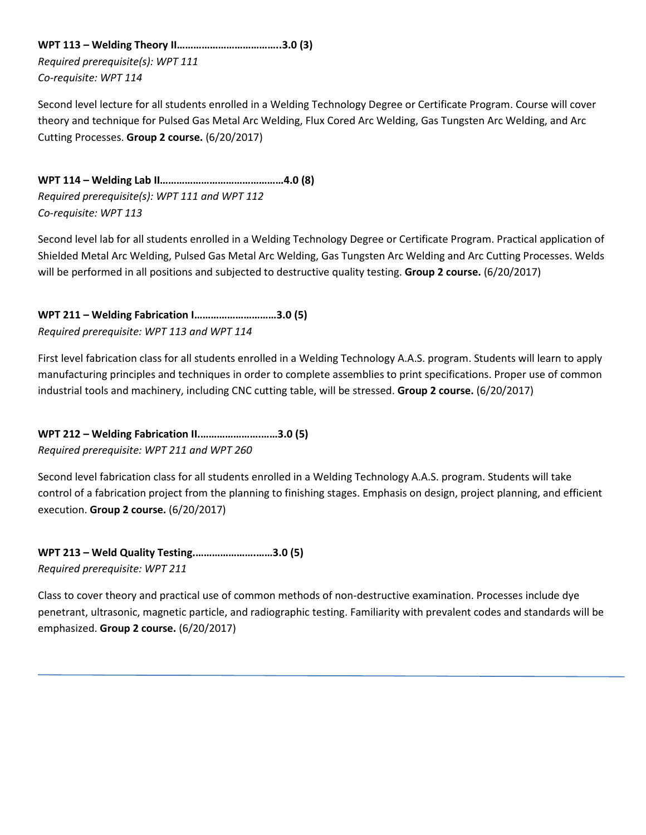**WPT 113 – Welding Theory II………………………………..3.0 (3)** *Required prerequisite(s): WPT 111 Co-requisite: WPT 114*

Second level lecture for all students enrolled in a Welding Technology Degree or Certificate Program. Course will cover theory and technique for Pulsed Gas Metal Arc Welding, Flux Cored Arc Welding, Gas Tungsten Arc Welding, and Arc Cutting Processes. **Group 2 course.** (6/20/2017)

**WPT 114 – Welding Lab II………………………………………4.0 (8)** *Required prerequisite(s): WPT 111 and WPT 112 Co-requisite: WPT 113*

Second level lab for all students enrolled in a Welding Technology Degree or Certificate Program. Practical application of Shielded Metal Arc Welding, Pulsed Gas Metal Arc Welding, Gas Tungsten Arc Welding and Arc Cutting Processes. Welds will be performed in all positions and subjected to destructive quality testing. **Group 2 course.** (6/20/2017)

**WPT 211 – Welding Fabrication I…………………………3.0 (5)** *Required prerequisite: WPT 113 and WPT 114*

First level fabrication class for all students enrolled in a Welding Technology A.A.S. program. Students will learn to apply manufacturing principles and techniques in order to complete assemblies to print specifications. Proper use of common industrial tools and machinery, including CNC cutting table, will be stressed. **Group 2 course.** (6/20/2017)

**WPT 212 – Welding Fabrication II.………………….……3.0 (5)** *Required prerequisite: WPT 211 and WPT 260*

Second level fabrication class for all students enrolled in a Welding Technology A.A.S. program. Students will take control of a fabrication project from the planning to finishing stages. Emphasis on design, project planning, and efficient execution. **Group 2 course.** (6/20/2017)

**WPT 213 – Weld Quality Testing.………………….……3.0 (5)** *Required prerequisite: WPT 211* 

Class to cover theory and practical use of common methods of non-destructive examination. Processes include dye penetrant, ultrasonic, magnetic particle, and radiographic testing. Familiarity with prevalent codes and standards will be emphasized. **Group 2 course.** (6/20/2017)